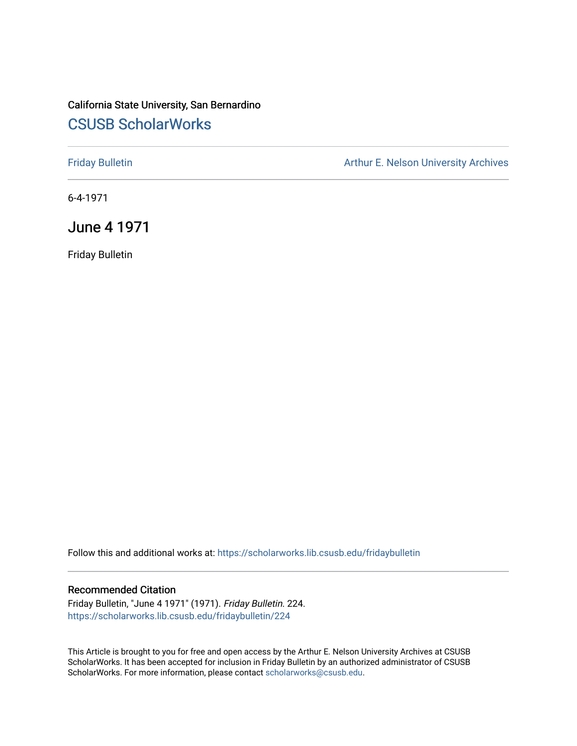## California State University, San Bernardino [CSUSB ScholarWorks](https://scholarworks.lib.csusb.edu/)

[Friday Bulletin](https://scholarworks.lib.csusb.edu/fridaybulletin) **Arthur E. Nelson University Archives** Arthur E. Nelson University Archives

6-4-1971

June 4 1971

Friday Bulletin

Follow this and additional works at: [https://scholarworks.lib.csusb.edu/fridaybulletin](https://scholarworks.lib.csusb.edu/fridaybulletin?utm_source=scholarworks.lib.csusb.edu%2Ffridaybulletin%2F224&utm_medium=PDF&utm_campaign=PDFCoverPages)

## Recommended Citation

Friday Bulletin, "June 4 1971" (1971). Friday Bulletin. 224. [https://scholarworks.lib.csusb.edu/fridaybulletin/224](https://scholarworks.lib.csusb.edu/fridaybulletin/224?utm_source=scholarworks.lib.csusb.edu%2Ffridaybulletin%2F224&utm_medium=PDF&utm_campaign=PDFCoverPages)

This Article is brought to you for free and open access by the Arthur E. Nelson University Archives at CSUSB ScholarWorks. It has been accepted for inclusion in Friday Bulletin by an authorized administrator of CSUSB ScholarWorks. For more information, please contact [scholarworks@csusb.edu.](mailto:scholarworks@csusb.edu)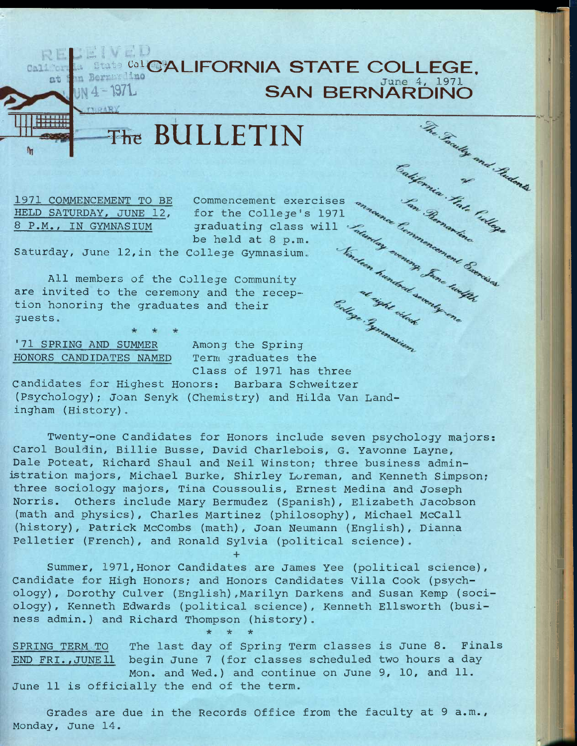## RELEIVED **CALIFORNIA STATE COLLEGE,** June 4, 1971

>1 1

I '' ^9'

**Tfe BULLETIN** 

1971 COMMENCEMENT TO BE HELD SATURDAY, JUNE 12, 8 P.M., IN GYMNASIUM

The BULLETIN EXTREMATORS COMMERCIAL COMMERCIAL COMMERCIAL COMMERCIAL COMMERCIAL COMMERCIAL COMMERCIAL COMMERCIAL COMMERCIAL COMMERCIAL COMMERCIAL COMMERCIAL COMMERCIAL COMMERCIAL COMMERCIAL COMMERCIAL COMMERCIAL COMMERCIAL Commencement exercises for the College's 1971 for the College s 1971<br>
graduating class will for the Grandwick of the Red at 8 p.m.<br>
ollege Gymnasium. This are the property of the second the recep-<br>
s and their<br>
s and their<br>
for the property of the second their<br>
for th be held at 8 p.m.

Saturday, June 12,in the College Gymnasium.

All members of the College Community are invited to the ceremony and the reception honoring the graduates and their guests.

'71 SPRING AND SUMMER HONORS CANDIDATES NAMED

Among the Spring Term graduates the Class of 1971 has three

candidates for Highest Honors: Barbara Schweitzer (Psychology); Joan Senyk (Chemistry) and Hilda Van Landingham (History).

Twenty-one Candidates for Honors include seven psychology majors: Carol Bouldin, Billie Busse, David Charlebois, G. Yavonne Layne, Dale Poteat, Richard Shaul and Neil Winston; three business administration majors, Michael Burke, Shirley Loreman, and Kenneth Simpson; three sociology majors, Tina Coussoulis, Ernest Medina and Joseph Norris. Others include Mary Bermudez (Spanish), Elizabeth Jacobson (math and physics), Charles Martinez (philosophy), Michael McCall (history), Patrick McCombs (math), Joan Neumann (English), Dianna Pelletier (French), and Ronald Sylvia (political science).

Summer, 1971,Honor Candidates are James Yee (political science). Candidate for High Honors; and Honors Candidates Villa Cook (psychology), Dorothy Culver (English),Marilyn Darkens and Susan Kemp (sociology) , Kenneth Edwards (political science), Kenneth Ellsworth (business admin.) and Richard Thompson (history).

**+** 

**\* \* \*** 

SPRING TERM TO The last day of Spring Term classes is June 8. Finals END FRI.,JUNEll begin June 7 (for classes scheduled two hours a day Mon. and Wed.) and continue on June 9, 10, and 11. June 11 is officially the end of the term.

Grades are due in the Records Office from the faculty at 9 a.m., Monday, June 14.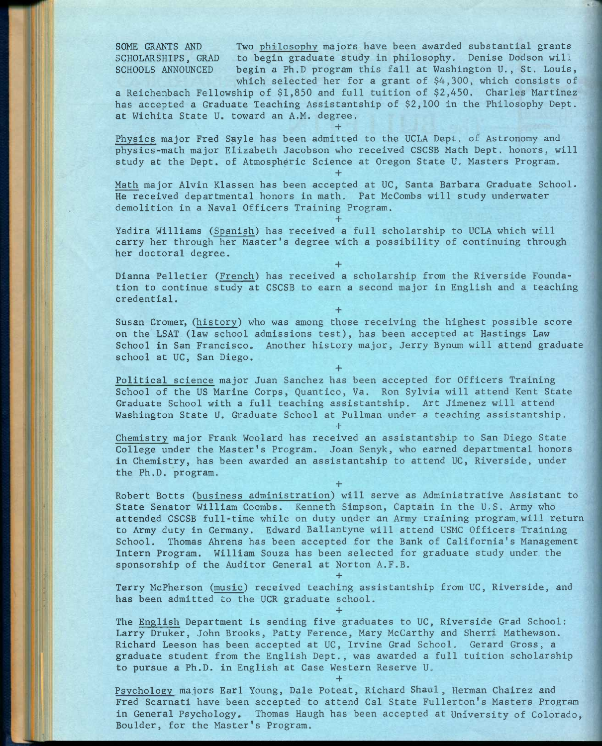SOME GRANTS AND Two philosophy majors have been awarded substantial grants SCHOLARSHIPS, GRAD to begin graduate study in philosophy. Denise Dodson will SCHOOLS ANNOUNCED begin a Ph.D program this fall at Washington U., St. Louis, which selected her for a grant of \$4,300, which consists of

a Reichenbach Fellowship of \$1,850 and full tuition of \$2,450, Charles Martinez has accepted a Graduate Teaching Assistantship of \$2,100 in the Philosophy Dept. at Wichita State U. toward an A.M. degree, **+** 

Physics major Fred Sayle has been admitted to the UCLA Dept. of Astronomy and physics-math major Elizabeth Jacobson who received CSCSB Math Dept. honors, will study at the Dept. of Atmospheric Science at Oregon State U. Masters Program.

**+** 

Math major Alvin Klassen has been accepted at UC, Santa Barbara Graduate School. He received departmental honors in math. Pat McCombs will study underwater demolition in a Naval Officers Training Program.

Yadira Williams (Spanish) has received a full scholarship to UCLA which will carry her through her Master's degree with a possibility of continuing through her doctoral degree.

**+** 

**+** 

Dianna Pelletier (French) has received a scholarship from the Riverside Foundation to continue study at CSCSB to earn a second major in English and a teaching credential.

**+** 

Susan Cromer, (history) who was among those receiving the highest possible score on the LSAT (law school admissions test), has been accepted at Hastings Law School in San Francisco. Another history major, Jerry Bynum will attend graduate school at UC, San Diego.

Political science major Juan Sanchez has been accepted for Officers Training School of the US Marine Corps, Quantico, Va. Ron Sylvia will attend Kent State Graduate School with a full teaching assistantship. Art Jimenez will attend Washington State U. Graduate School at Pullman under a teaching assistantship.

**+** 

Chemistry major Frank Woolard has received an assistantship to San Diego State College under the Master's Program. Joan Senyk, who earned departmental honors in Chemistry, has been awarded an assistantship to attend UC, Riverside, under the Ph.D. program.

**+** 

**+** 

Robert Botts (business administration) will serve as Administrative Assistant to State Senator William Coombs. Kenneth Simpson, Captain in the U.S. Army who attended CSCSB full-time while on duty under an Army training program,will return to Army duty in Germany. Edward Ballantyne will attend USMC Officers Training School. Thomas Ahrens has been accepted for the Bank of California's Management Intern Program. William Souza has been selected for graduate study under the sponsorship of the Auditor General at Norton A.F.B.

**+**  Terry McPherson (music) received teaching assistantship from UC, Riverside, and has been admitted to the UCR graduate school. **+** 

The English Department is sending five graduates to UC, Riverside Grad School: Larry Druker, John Brooks, Patty Ference, Mary McCarthy and Sherri Mathewson. Richard Leeson has been accepted at UC, Irvine Grad School. Gerard Gross, a graduate student from the English Dept., was awarded a full tuition scholarship to pursue a Ph.D. in English at Case Western Reserve U.

**+** 

Psychology majors Earl Young, Dale Poteat, Richard Shaul , Herman Chairez and Fred Scarnati have been accepted to attend Cal State Fullerton's Masters Program in General Psychology, Thomas Haugh has been accepted at University of Colorado, Boulder, for the Master's Program.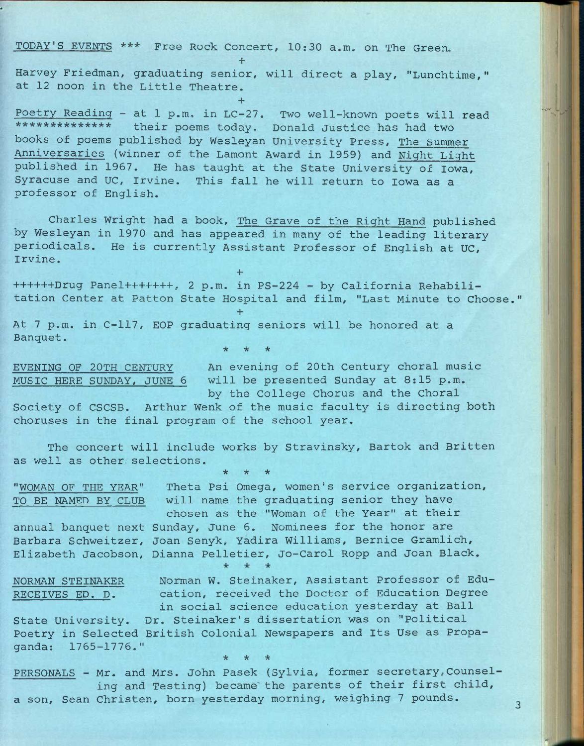TODAY'S EVENTS \*\*\* Free Rock Concert, 10:30 a.m. on The Green.

Harvey Friedman, graduating senior, will direct a play, "Lunchtime," at 12 noon in the Little Theatre.

**+** 

**+** 

Poetry Reading - at 1 p.m. in LC-27. Two well-known poets will read \*\*\*\*\*\*\*\*\*\*\*\*\*\* their poems today. Donald Justice has had two books of poems published by Wesleyan University Press, The bummer Anniversaries (winner of the Lamont Award in 1959) and Night Light published in 1967. He has taught at the State University of Iowa, Syracuse and UC, Irvine. This fall he will return to Iowa as a professor of English.

Charles Wright had a book. The Grave of the Right Hand published by Wesleyan in 1970 and has appeared in many of the leading literary periodicals. He is currently Assistant Professor of English at UC, Irvine.

**+**  ++++++Drug Panel+++++++, 2 p.m. in PS-224 - by California Rehabilitation Center at Patton State Hospital and film, "Last Minute to Choose.

At 7 p.m. in C-117, EOP graduating seniors will be honored at a Banquet. **\* \* \*** 

**+** 

EVENING OF 20TH CENTURY An evening of 20th Century choral music MUSIC HERE SUNDAY, JUNE 6 will be presented Sunday at 8:15 p.m. by the College Chorus and the Choral

 $\overline{3}$ 

Society of CSCSB. Arthur Wenk of the music faculty is directing both choruses in the final program of the school year.

The concert will include works by Stravinsky, Bartok and Britten as well as other selections.

**\* \* \*** 

"WOMAN OF THE YEAR" Theta Psi Omega, women's service organization, TO BE NAMED BY CLUB will name the graduating senior they have chosen as the "Woman of the Year" at their annual banquet next Sunday, June 6. Nominees for the honor are Barbara Schweitzer, Joan Senyk, Yadira Williams, Bernice Gramlich, Elizabeth Jacobson, Dianna Pelletier, Jo-Carol Ropp and Joan Black.  $*$   $*$ NORMAN STEINAKER Norman W. Steinaker, Assistant Professor of Edu-RECEIVES ED. D. cation, received the Doctor of Education Degree in social science education yesterday at Ball State University. Dr. Steinaker's dissertation was on "Political Poetry in Selected British Colonial Newspapers and Its Use as Propaganda: 1765-1776." **\* \* \*** 

PERSONALS - Mr. and Mrs. John Pasek (Sylvia, former secretary, Counseling and Testing) became the parents of their first child, a son, Sean Christen, born yesterday morning, weighing 7 pounds.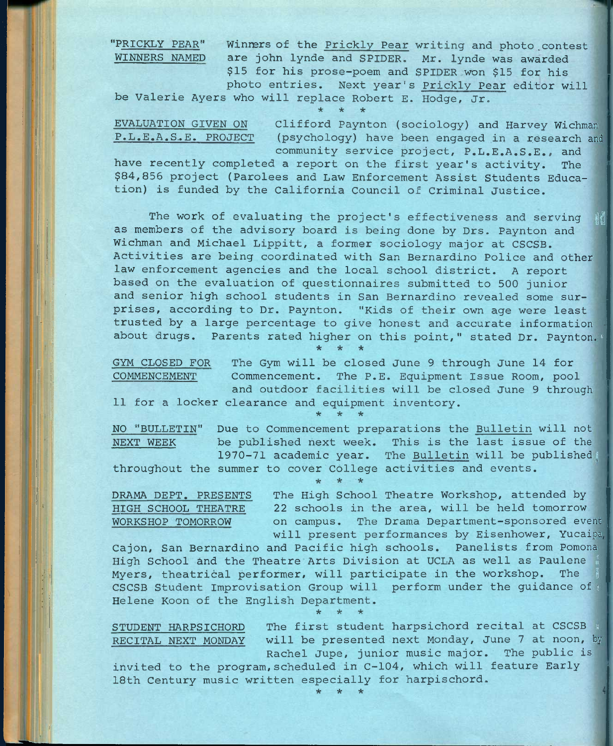"PRICKLY PEAR" Winners of the Prickly Pear writing and photo contest WINNERS NAMED are john lynde and SPIDER, Mr. lynde was awarded \$15 for his prose-poem and SPIDER won \$15 for his photo entries. Next year's Prickly Pear editor will

be Valerie Ayers who will replace Robert E. Hodge, Jr. \* \* \*

EVALUATION GIVEN ON Clifford Paynton (sociology) and Harvey Wichman P.L.E.A.S,.E. PROJECT (psychology) have been engaged in a research and

community service project, P.L.E.A.S.E., and

have recently completed a report on the first year's activity. The \$84,855 project (Parolees and Law Enforcement Assist Students Education) is funded by the California Council of Criminal Justice.

The work of evaluating the project's effectiveness and serving as members of the advisory board is being done by Drs. Paynton and Wichman and Michael Lippitt, a former sociology major at CSCSB. Activities are being coordinated with San Bernardino Police and other law enforcement agencies and the local school district. A report based on the evaluation of questionnaires submitted to 500 junior and senior high school students in San Bernardino revealed some surprises, according to Dr. Paynton. "Kids of their own age were least trusted by a large percentage to give honest and accurate information about drugs. Parents rated higher on this point," stated Dr. Paynton. **\* \* \*** 

GYM CLOSED FOR The Gym will be closed June 9 through June 14 for COMMENCEMENT Commencement. The P.E. Equipment Issue Room, pool and outdoor facilities will be closed June 9 through 11 for a locker clearance and equipment inventory.

•\* \* \*

NO "BULLETIN" Due to Commencement preparations the Bulletin will not NEXT WEEK be published next week. This is the last issue of the 1970-71 academic year. The Bulletin will be published^ throughout the summer to cover College activities and events.

**\* \* \*** 

DRAMA DEPT. PRESENTS The High School Theatre Workshop, attended by HIGH SCHOOL THEATRE 22 schools in the area, will be held tomorrow WORKSHOP TOMORROW on campus. The Drama Department-sponsored event will present performances by Eisenhower, Yucaipa

Cajon, San Bernardino and Pacific high schools. Panelists from Pomona High School and the Theatre Arts Division at UCLA as well as Paulene Myers, theatrical performer, will participate in the workshop. The CSCSB Student Improvisation Group will perform under the guidance of Helene Koon of the English Department.

STUDENT HARPSICHORD The first student harpsichord recital at CSCSB ; RECITAL NEXT MONDAY will be presented next Monday, June 7 at noon, by Rachel Jupe, junior music major. The public is

invited to the program,scheduled in C-104, which will feature Early 18th Century music written especially for harpischord. **\* \* \*** 

**\* \* \***